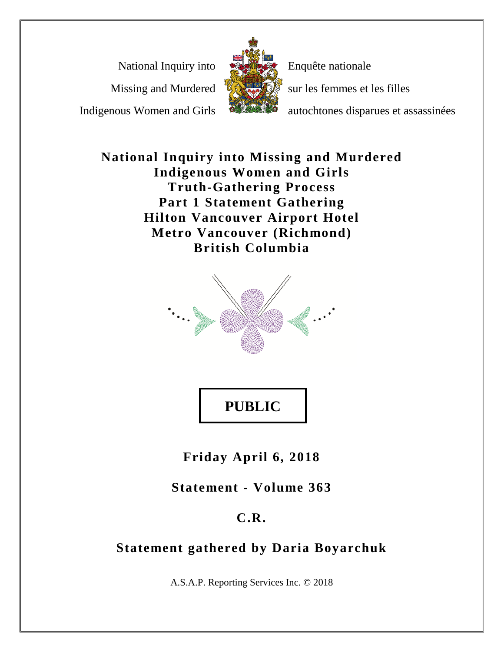National Inquiry into

Missing and Murdered

Indigenous Women and Girls



Enquête nationale

sur les femmes et les filles

autochtones disparues et assassinées

**National Inquiry into Missing and Murdered Indigenous Women and Girls Truth-Gathering Process Part 1 Statement Gathering Hilton Vancouver Airport Hotel Metro Vancouver (Richmond) British Columbia**



**PUBLIC** 

**Friday April 6, 2018**

**Statement - Volume 363**

# **C.R.**

# **Statement gathered by Daria Boyarchuk**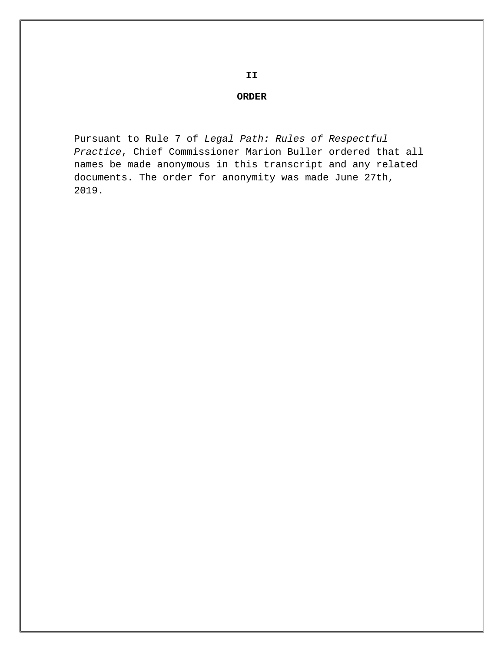# **II**

#### **ORDER**

Pursuant to Rule 7 of *Legal Path: Rules of Respectful Practice*, Chief Commissioner Marion Buller ordered that all names be made anonymous in this transcript and any related documents. The order for anonymity was made June 27th, 2019.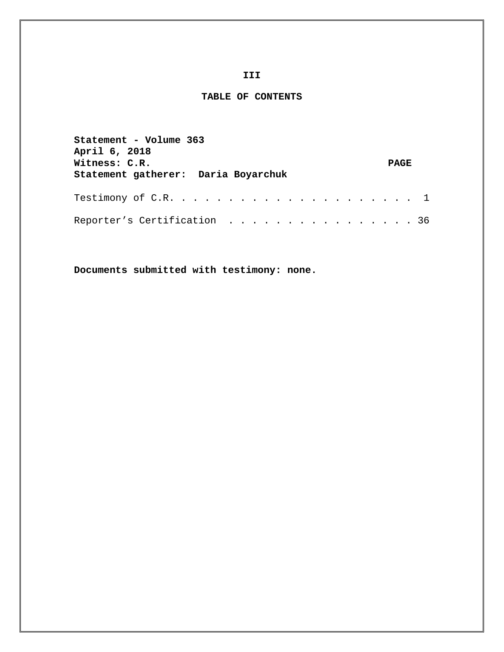#### **III**

#### **TABLE OF CONTENTS**

| Statement - Volume 363<br>April 6, 2018<br>Witness: C.R.<br>Statement gatherer: Daria Boyarchuk | <b>PAGE</b> |  |
|-------------------------------------------------------------------------------------------------|-------------|--|
|                                                                                                 |             |  |
| Reporter's Certification 36                                                                     |             |  |

**Documents submitted with testimony: none.**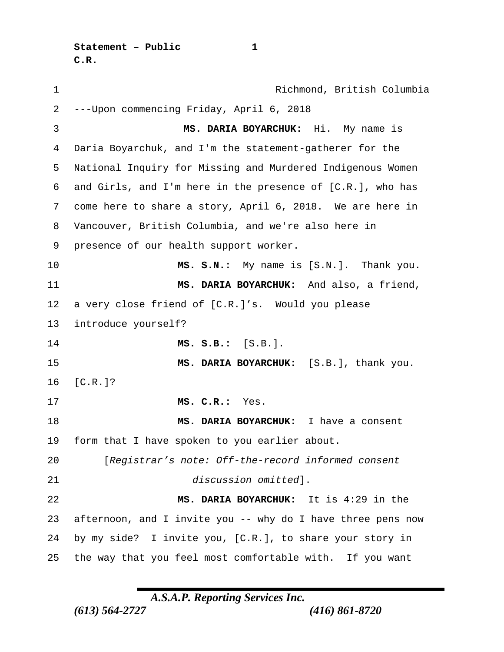**Statement – Public 1 C.R.**

 Richmond, British Columbia ---Upon commencing Friday, April 6, 2018 **MS. DARIA BOYARCHUK:** Hi. My name is Daria Boyarchuk, and I'm the statement-gatherer for the National Inquiry for Missing and Murdered Indigenous Women and Girls, and I'm here in the presence of [C.R.], who has come here to share a story, April 6, 2018. We are here in Vancouver, British Columbia, and we're also here in presence of our health support worker. **MS. S.N.:** My name is [S.N.]. Thank you. **MS. DARIA BOYARCHUK:** And also, a friend, a very close friend of [C.R.]'s. Would you please introduce yourself? **MS. S.B.:** [S.B.]. **MS. DARIA BOYARCHUK:** [S.B.], thank you. [C.R.]? **MS. C.R.:** Yes. **MS. DARIA BOYARCHUK:** I have a consent form that I have spoken to you earlier about. [*Registrar's note: Off-the-record informed consent discussion omitted*]. **MS. DARIA BOYARCHUK:** It is 4:29 in the afternoon, and I invite you -- why do I have three pens now by my side? I invite you, [C.R.], to share your story in the way that you feel most comfortable with. If you want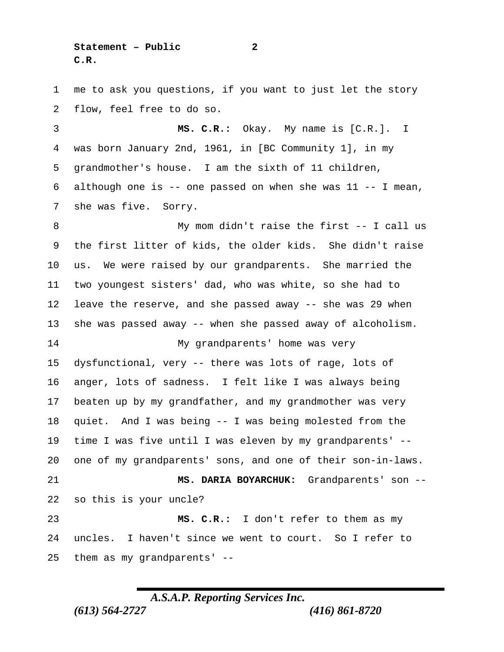**Statement – Public 2 C.R.**

 me to ask you questions, if you want to just let the story flow, feel free to do so.

 **MS. C.R.:** Okay. My name is [C.R.]. I was born January 2nd, 1961, in [BC Community 1], in my grandmother's house. I am the sixth of 11 children, 6 although one is  $-$  one passed on when she was  $11 - -$  I mean, she was five. Sorry.

8 My mom didn't raise the first -- I call us the first litter of kids, the older kids. She didn't raise us. We were raised by our grandparents. She married the two youngest sisters' dad, who was white, so she had to leave the reserve, and she passed away -- she was 29 when she was passed away -- when she passed away of alcoholism. My grandparents' home was very dysfunctional, very -- there was lots of rage, lots of anger, lots of sadness. I felt like I was always being beaten up by my grandfather, and my grandmother was very quiet. And I was being -- I was being molested from the time I was five until I was eleven by my grandparents' -- one of my grandparents' sons, and one of their son-in-laws. **MS. DARIA BOYARCHUK:** Grandparents' son -- so this is your uncle? **MS. C.R.:** I don't refer to them as my uncles. I haven't since we went to court. So I refer to them as my grandparents' --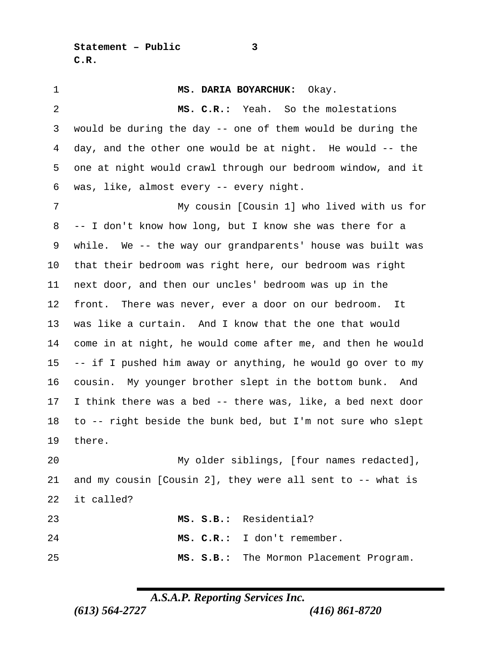**Statement – Public 3 C.R.**

 **MS. DARIA BOYARCHUK:** Okay. **MS. C.R.:** Yeah. So the molestations would be during the day -- one of them would be during the day, and the other one would be at night. He would -- the one at night would crawl through our bedroom window, and it was, like, almost every -- every night. My cousin [Cousin 1] who lived with us for -- I don't know how long, but I know she was there for a while. We -- the way our grandparents' house was built was that their bedroom was right here, our bedroom was right next door, and then our uncles' bedroom was up in the front. There was never, ever a door on our bedroom. It was like a curtain. And I know that the one that would come in at night, he would come after me, and then he would -- if I pushed him away or anything, he would go over to my cousin. My younger brother slept in the bottom bunk. And I think there was a bed -- there was, like, a bed next door to -- right beside the bunk bed, but I'm not sure who slept there. My older siblings, [four names redacted], and my cousin [Cousin 2], they were all sent to -- what is

it called?

| 23 | MS. S.B.: Residential?                  |
|----|-----------------------------------------|
| 24 | MS. C.R.: I don't remember.             |
| 25 | MS. S.B.: The Mormon Placement Program. |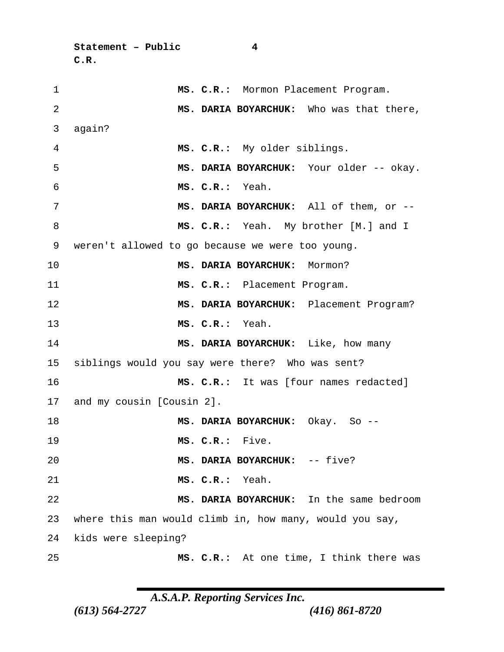```
Statement – Public 4
C.R.
```

| $\mathbf 1$ | MS. C.R.: Mormon Placement Program.                     |
|-------------|---------------------------------------------------------|
| 2           | MS. DARIA BOYARCHUK: Who was that there,                |
| 3           | again?                                                  |
| 4           | MS. C.R.: My older siblings.                            |
| 5           | MS. DARIA BOYARCHUK: Your older -- okay.                |
| 6           | MS. C.R.: Yeah.                                         |
| 7           | MS. DARIA BOYARCHUK: All of them, or --                 |
| 8           | MS. C.R.: Yeah. My brother [M.] and I                   |
| 9           | weren't allowed to go because we were too young.        |
| 10          | MS. DARIA BOYARCHUK: Mormon?                            |
| 11          | MS. C.R.: Placement Program.                            |
| 12          | MS. DARIA BOYARCHUK: Placement Program?                 |
| 13          | MS. C.R.: Yeah.                                         |
| 14          | MS. DARIA BOYARCHUK: Like, how many                     |
| 15          | siblings would you say were there? Who was sent?        |
| 16          | MS. C.R.: It was [four names redacted]                  |
| 17          | and my cousin [Cousin 2].                               |
| 18          | MS. DARIA BOYARCHUK: Okay. So --                        |
| 19          | MS. C.R.: Five.                                         |
| 20          | MS. DARIA BOYARCHUK: -- five?                           |
| 21          | MS. C.R.: Yeah.                                         |
| 22          | MS. DARIA BOYARCHUK: In the same bedroom                |
| 23          | where this man would climb in, how many, would you say, |
| 24          | kids were sleeping?                                     |
| 25          | MS. C.R.: At one time, I think there was                |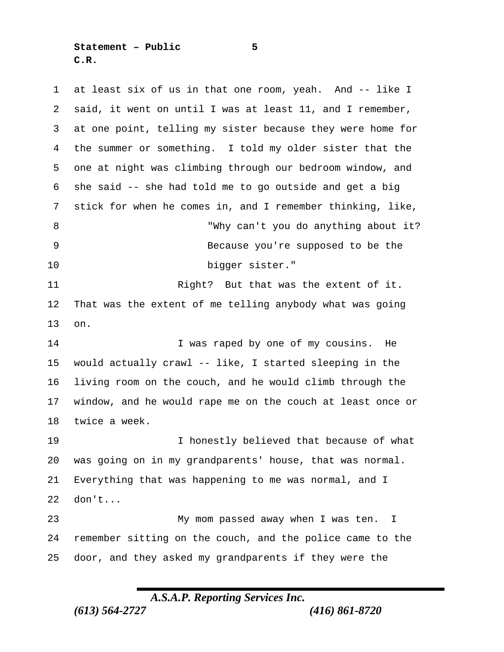**Statement – Public 5 C.R.**

 at least six of us in that one room, yeah. And -- like I said, it went on until I was at least 11, and I remember, at one point, telling my sister because they were home for the summer or something. I told my older sister that the one at night was climbing through our bedroom window, and she said -- she had told me to go outside and get a big stick for when he comes in, and I remember thinking, like, "Why can't you do anything about it? Because you're supposed to be the bigger sister." 11 Right? But that was the extent of it. That was the extent of me telling anybody what was going on. I was raped by one of my cousins. He would actually crawl -- like, I started sleeping in the living room on the couch, and he would climb through the window, and he would rape me on the couch at least once or twice a week. I honestly believed that because of what was going on in my grandparents' house, that was normal. Everything that was happening to me was normal, and I don't... My mom passed away when I was ten. I remember sitting on the couch, and the police came to the door, and they asked my grandparents if they were the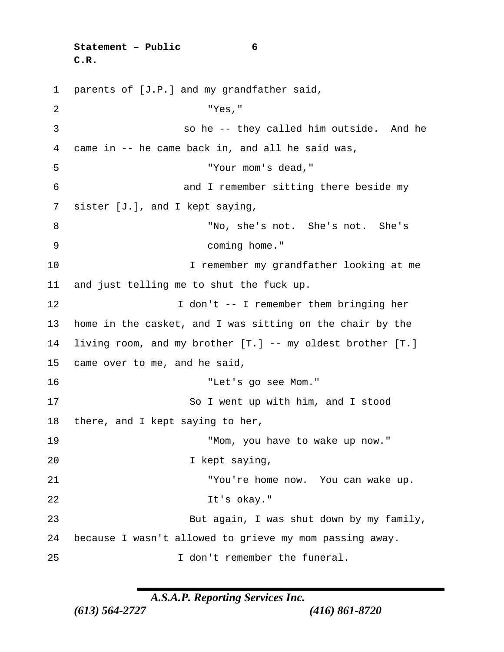```
Statement – Public 6
C.R.
```
 parents of [J.P.] and my grandfather said, "Yes," so he -- they called him outside. And he came in -- he came back in, and all he said was, "Your mom's dead," and I remember sitting there beside my sister [J.], and I kept saying, "No, she's not. She's not. She's coming home." 10 I remember my grandfather looking at me and just telling me to shut the fuck up. 12 I don't -- I remember them bringing her home in the casket, and I was sitting on the chair by the living room, and my brother [T.] -- my oldest brother [T.] came over to me, and he said, "Let's go see Mom." 17 So I went up with him, and I stood there, and I kept saying to her, "Mom, you have to wake up now." 20 I kept saying, "You're home now. You can wake up. It's okay." 23 But again, I was shut down by my family, because I wasn't allowed to grieve my mom passing away. I don't remember the funeral.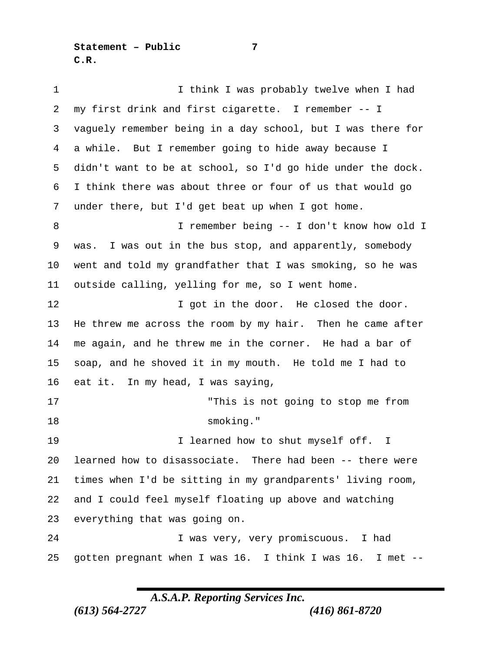**Statement – Public 7 C.R.**

1 1 I think I was probably twelve when I had my first drink and first cigarette. I remember -- I vaguely remember being in a day school, but I was there for a while. But I remember going to hide away because I didn't want to be at school, so I'd go hide under the dock. I think there was about three or four of us that would go under there, but I'd get beat up when I got home. I remember being -- I don't know how old I was. I was out in the bus stop, and apparently, somebody went and told my grandfather that I was smoking, so he was outside calling, yelling for me, so I went home. **I** got in the door. He closed the door. He threw me across the room by my hair. Then he came after me again, and he threw me in the corner. He had a bar of soap, and he shoved it in my mouth. He told me I had to eat it. In my head, I was saying, "This is not going to stop me from 18 smoking." 19 19 I learned how to shut myself off. I learned how to disassociate. There had been -- there were times when I'd be sitting in my grandparents' living room, and I could feel myself floating up above and watching everything that was going on. I was very, very promiscuous. I had gotten pregnant when I was 16. I think I was 16. I met --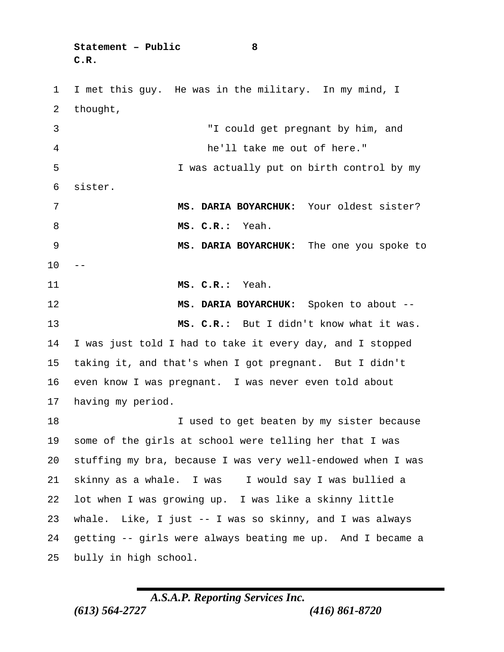**Statement – Public 8 C.R.**

 I met this guy. He was in the military. In my mind, I thought,

 "I could get pregnant by him, and he'll take me out of here." I was actually put on birth control by my sister. **MS. DARIA BOYARCHUK:** Your oldest sister? **MS. C.R.:** Yeah. **MS. DARIA BOYARCHUK:** The one you spoke to **MS. C.R.:** Yeah. **MS. DARIA BOYARCHUK:** Spoken to about -- **MS. C.R.:** But I didn't know what it was. I was just told I had to take it every day, and I stopped taking it, and that's when I got pregnant. But I didn't even know I was pregnant. I was never even told about having my period. **I** used to get beaten by my sister because some of the girls at school were telling her that I was stuffing my bra, because I was very well-endowed when I was skinny as a whale. I was I would say I was bullied a

 lot when I was growing up. I was like a skinny little whale. Like, I just -- I was so skinny, and I was always getting -- girls were always beating me up. And I became a bully in high school.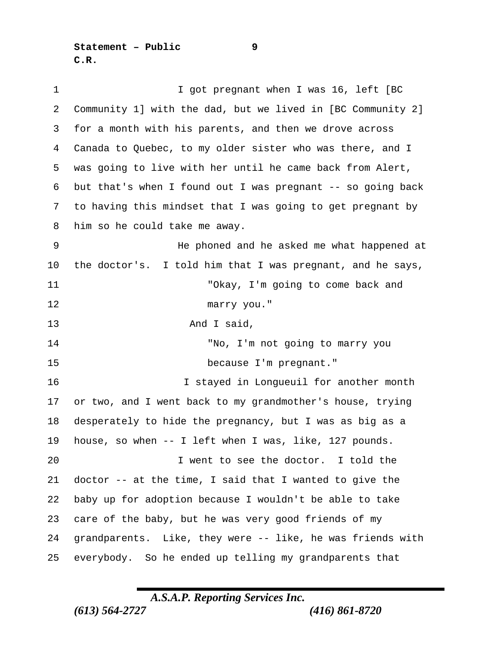**Statement – Public 9 C.R.**

| 1  | I got pregnant when I was 16, left [BC                      |
|----|-------------------------------------------------------------|
| 2  | Community 1] with the dad, but we lived in [BC Community 2] |
| 3  | for a month with his parents, and then we drove across      |
| 4  | Canada to Quebec, to my older sister who was there, and I   |
| 5  | was going to live with her until he came back from Alert,   |
| 6  | but that's when I found out I was pregnant -- so going back |
| 7  | to having this mindset that I was going to get pregnant by  |
| 8  | him so he could take me away.                               |
| 9  | He phoned and he asked me what happened at                  |
| 10 | the doctor's. I told him that I was pregnant, and he says,  |
| 11 | "Okay, I'm going to come back and                           |
| 12 | marry you."                                                 |
| 13 | And I said,                                                 |
| 14 | "No, I'm not going to marry you                             |
| 15 | because I'm pregnant."                                      |
| 16 | I stayed in Longueuil for another month                     |
| 17 | or two, and I went back to my grandmother's house, trying   |
| 18 | desperately to hide the pregnancy, but I was as big as a    |
| 19 | house, so when $--$ I left when I was, like, 127 pounds.    |
| 20 | I went to see the doctor. I told the                        |
| 21 | doctor -- at the time, I said that I wanted to give the     |
| 22 | baby up for adoption because I wouldn't be able to take     |
| 23 | care of the baby, but he was very good friends of my        |
| 24 | grandparents. Like, they were -- like, he was friends with  |
| 25 | everybody. So he ended up telling my grandparents that      |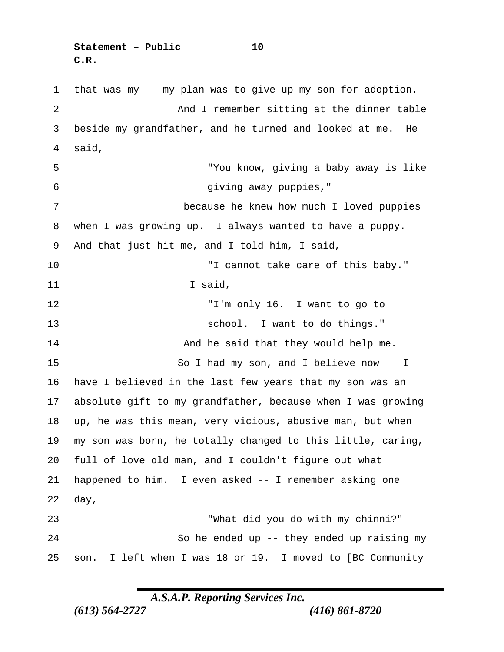**Statement – Public 10 C.R.**

 that was my -- my plan was to give up my son for adoption. 2 And I remember sitting at the dinner table beside my grandfather, and he turned and looked at me. He said, "You know, giving a baby away is like giving away puppies," because he knew how much I loved puppies when I was growing up. I always wanted to have a puppy. And that just hit me, and I told him, I said, "I cannot take care of this baby." 11 I said, "I'm only 16. I want to go to school. I want to do things." **And he said that they would help me.** 15 So I had my son, and I believe now I have I believed in the last few years that my son was an absolute gift to my grandfather, because when I was growing up, he was this mean, very vicious, abusive man, but when my son was born, he totally changed to this little, caring, full of love old man, and I couldn't figure out what happened to him. I even asked -- I remember asking one day, "What did you do with my chinni?" So he ended up -- they ended up raising my son. I left when I was 18 or 19. I moved to [BC Community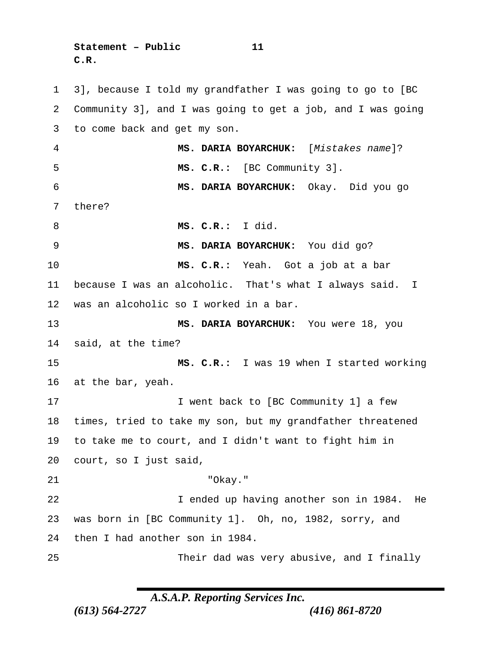**Statement – Public 11 C.R.**

 3], because I told my grandfather I was going to go to [BC Community 3], and I was going to get a job, and I was going to come back and get my son. **MS. DARIA BOYARCHUK:** [*Mistakes name*]? **MS. C.R.:** [BC Community 3]. **MS. DARIA BOYARCHUK:** Okay. Did you go there? **MS. C.R.:** I did. **MS. DARIA BOYARCHUK:** You did go? **MS. C.R.:** Yeah. Got a job at a bar because I was an alcoholic. That's what I always said. I was an alcoholic so I worked in a bar. **MS. DARIA BOYARCHUK:** You were 18, you said, at the time? **MS. C.R.:** I was 19 when I started working at the bar, yeah. 17 17 I went back to [BC Community 1] a few times, tried to take my son, but my grandfather threatened to take me to court, and I didn't want to fight him in court, so I just said, "Okay." I ended up having another son in 1984. He was born in [BC Community 1]. Oh, no, 1982, sorry, and then I had another son in 1984. Their dad was very abusive, and I finally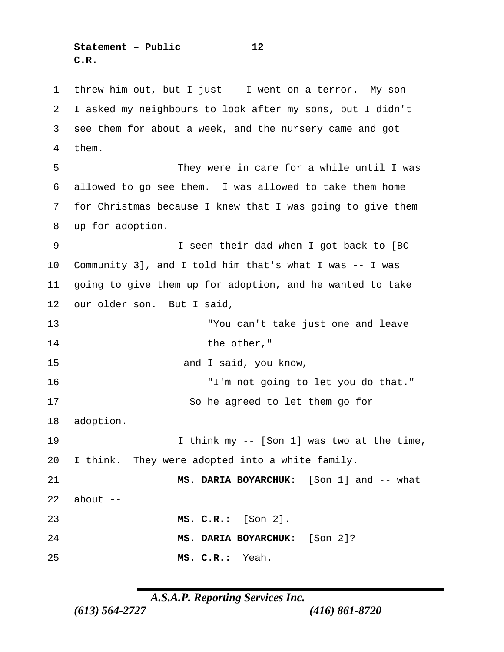**Statement – Public 12 C.R.**

 threw him out, but I just -- I went on a terror. My son -- I asked my neighbours to look after my sons, but I didn't see them for about a week, and the nursery came and got them. They were in care for a while until I was allowed to go see them. I was allowed to take them home for Christmas because I knew that I was going to give them up for adoption. I seen their dad when I got back to [BC Community 3], and I told him that's what I was -- I was going to give them up for adoption, and he wanted to take our older son. But I said, "You can't take just one and leave 14 the other," and I said, you know, "I'm not going to let you do that." 17 So he agreed to let them go for adoption. I think my -- [Son 1] was two at the time, I think. They were adopted into a white family. **MS. DARIA BOYARCHUK:** [Son 1] and -- what about  $-$  **MS. C.R.:** [Son 2]. **MS. DARIA BOYARCHUK:** [Son 2]? **MS. C.R.:** Yeah.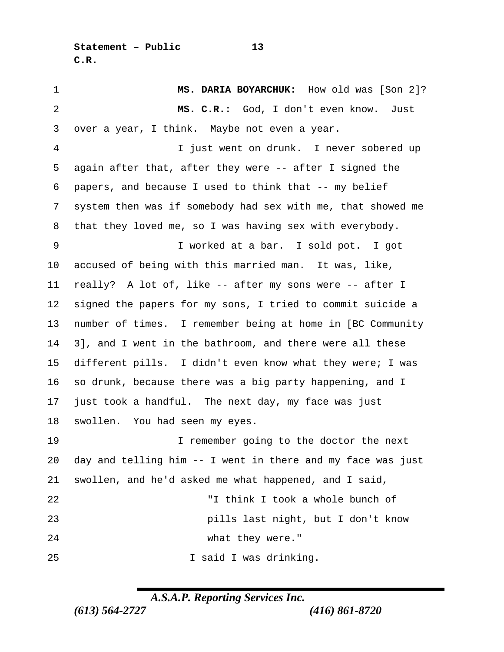**Statement – Public 13 C.R.**

 **MS. DARIA BOYARCHUK:** How old was [Son 2]? **MS. C.R.:** God, I don't even know. Just over a year, I think. Maybe not even a year. I just went on drunk. I never sobered up again after that, after they were -- after I signed the papers, and because I used to think that -- my belief system then was if somebody had sex with me, that showed me that they loved me, so I was having sex with everybody. I worked at a bar. I sold pot. I got accused of being with this married man. It was, like, really? A lot of, like -- after my sons were -- after I signed the papers for my sons, I tried to commit suicide a number of times. I remember being at home in [BC Community 3], and I went in the bathroom, and there were all these different pills. I didn't even know what they were; I was so drunk, because there was a big party happening, and I just took a handful. The next day, my face was just swollen. You had seen my eyes. I remember going to the doctor the next day and telling him -- I went in there and my face was just swollen, and he'd asked me what happened, and I said, "I think I took a whole bunch of pills last night, but I don't know 24 what they were." 25 I said I was drinking.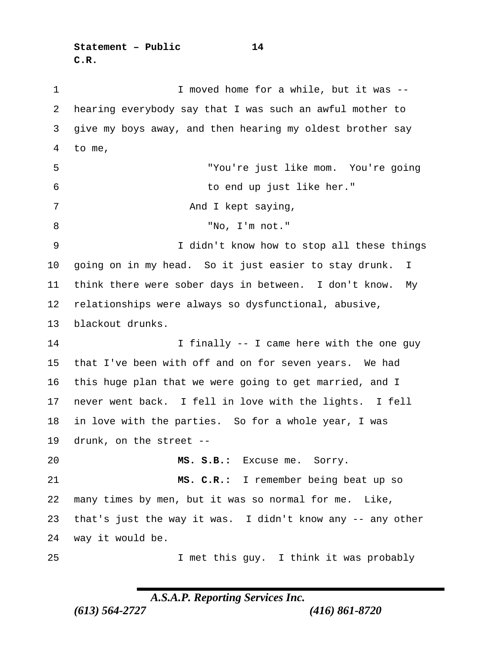**Statement – Public 14 C.R.**

1 1 I moved home for a while, but it was -- hearing everybody say that I was such an awful mother to give my boys away, and then hearing my oldest brother say to me, "You're just like mom. You're going to end up just like her." 7 And I kept saying, "No, I'm not." I didn't know how to stop all these things going on in my head. So it just easier to stay drunk. I think there were sober days in between. I don't know. My relationships were always so dysfunctional, abusive, blackout drunks. 14 14 I finally -- I came here with the one guy that I've been with off and on for seven years. We had this huge plan that we were going to get married, and I never went back. I fell in love with the lights. I fell in love with the parties. So for a whole year, I was drunk, on the street -- **MS. S.B.:** Excuse me. Sorry. **MS. C.R.:** I remember being beat up so many times by men, but it was so normal for me. Like, that's just the way it was. I didn't know any -- any other way it would be. I met this guy. I think it was probably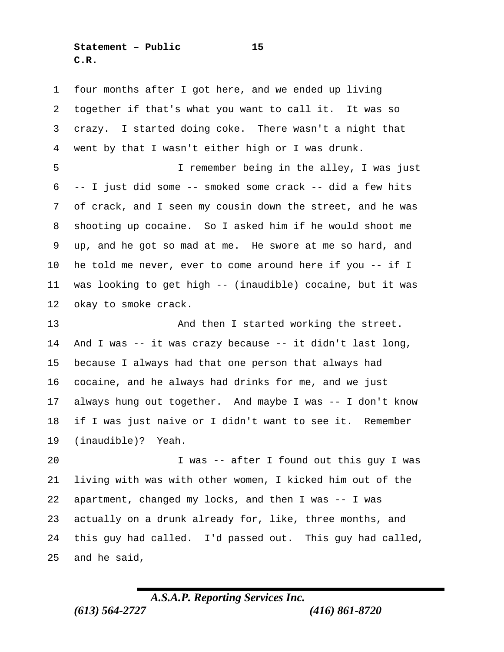**Statement – Public 15 C.R.**

 four months after I got here, and we ended up living together if that's what you want to call it. It was so crazy. I started doing coke. There wasn't a night that went by that I wasn't either high or I was drunk. I remember being in the alley, I was just -- I just did some -- smoked some crack -- did a few hits of crack, and I seen my cousin down the street, and he was shooting up cocaine. So I asked him if he would shoot me up, and he got so mad at me. He swore at me so hard, and he told me never, ever to come around here if you -- if I was looking to get high -- (inaudible) cocaine, but it was okay to smoke crack. And then I started working the street. And I was -- it was crazy because -- it didn't last long, because I always had that one person that always had cocaine, and he always had drinks for me, and we just always hung out together. And maybe I was -- I don't know if I was just naive or I didn't want to see it. Remember (inaudible)? Yeah. I was -- after I found out this guy I was living with was with other women, I kicked him out of the apartment, changed my locks, and then I was -- I was

 actually on a drunk already for, like, three months, and this guy had called. I'd passed out. This guy had called, and he said,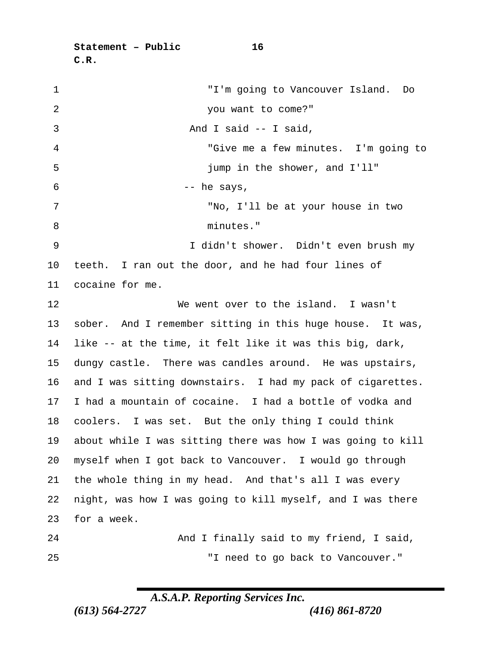**Statement – Public 16 C.R.**

| $\mathbf 1$    | "I'm going to Vancouver Island. Do                          |
|----------------|-------------------------------------------------------------|
| $\overline{2}$ | you want to come?"                                          |
| 3              | And I said -- I said,                                       |
| 4              | "Give me a few minutes. I'm going to                        |
| 5              | jump in the shower, and I'll"                               |
| 6              | -- he says,                                                 |
| 7              | "No, I'll be at your house in two                           |
| 8              | minutes."                                                   |
| 9              | I didn't shower. Didn't even brush my                       |
| 10             | teeth. I ran out the door, and he had four lines of         |
| 11             | cocaine for me.                                             |
| 12             | We went over to the island. I wasn't                        |
| 13             | sober. And I remember sitting in this huge house. It was,   |
| 14             | like -- at the time, it felt like it was this big, dark,    |
| 15             | dungy castle. There was candles around. He was upstairs,    |
| 16             | and I was sitting downstairs. I had my pack of cigarettes.  |
| 17             | I had a mountain of cocaine. I had a bottle of vodka and    |
| 18             | coolers. I was set. But the only thing I could think        |
| 19             | about while I was sitting there was how I was going to kill |
| 20             | myself when I got back to Vancouver. I would go through     |
| 21             | the whole thing in my head. And that's all I was every      |
| 22             | night, was how I was going to kill myself, and I was there  |
| 23             | for a week.                                                 |
| 24             | And I finally said to my friend, I said,                    |
| 25             | "I need to go back to Vancouver."                           |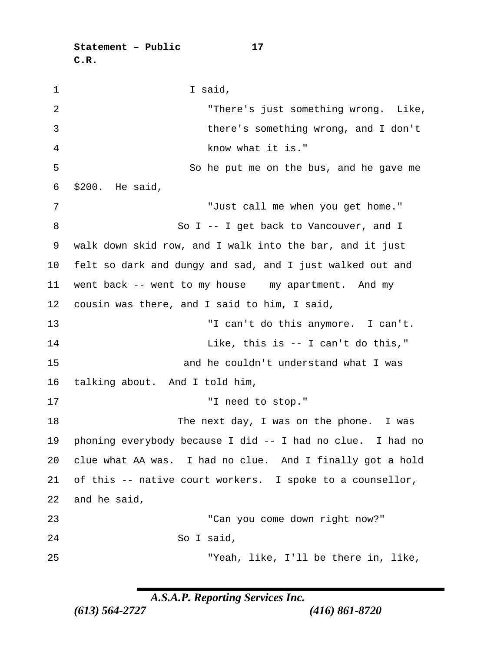**Statement – Public 17 C.R.**

1 I said, "There's just something wrong. Like, there's something wrong, and I don't know what it is." 5 So he put me on the bus, and he gave me \$200. He said, "Just call me when you get home." 8 So I -- I get back to Vancouver, and I walk down skid row, and I walk into the bar, and it just felt so dark and dungy and sad, and I just walked out and went back -- went to my house my apartment. And my cousin was there, and I said to him, I said, "I can't do this anymore. I can't. Like, this is -- I can't do this," and he couldn't understand what I was talking about. And I told him, 17 T need to stop." The next day, I was on the phone. I was phoning everybody because I did -- I had no clue. I had no clue what AA was. I had no clue. And I finally got a hold of this -- native court workers. I spoke to a counsellor, and he said, "Can you come down right now?" So I said, "Yeah, like, I'll be there in, like,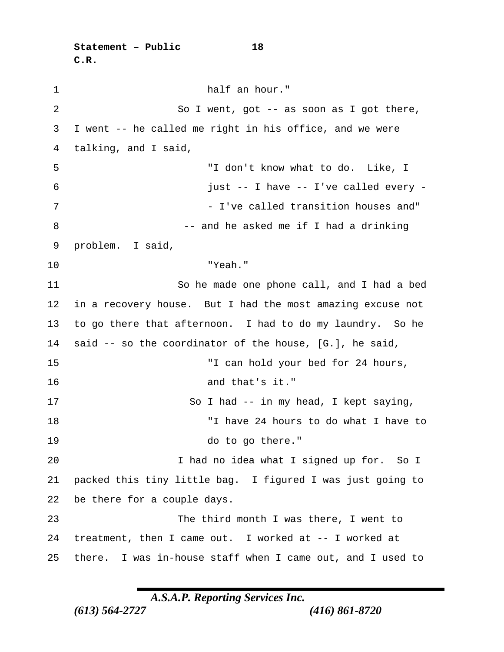**Statement – Public 18 C.R.**

1 half an hour." 2 So I went, got -- as soon as I got there, I went -- he called me right in his office, and we were talking, and I said, "I don't know what to do. Like, I just -- I have -- I've called every - 7 The called transition houses and " 8 -- and he asked me if I had a drinking problem. I said, "Yeah." So he made one phone call, and I had a bed in a recovery house. But I had the most amazing excuse not to go there that afternoon. I had to do my laundry. So he said -- so the coordinator of the house, [G.], he said, "I can hold your bed for 24 hours, and that's it." 17 So I had -- in my head, I kept saying, "I have 24 hours to do what I have to do to go there." I had no idea what I signed up for. So I packed this tiny little bag. I figured I was just going to be there for a couple days. The third month I was there, I went to treatment, then I came out. I worked at -- I worked at there. I was in-house staff when I came out, and I used to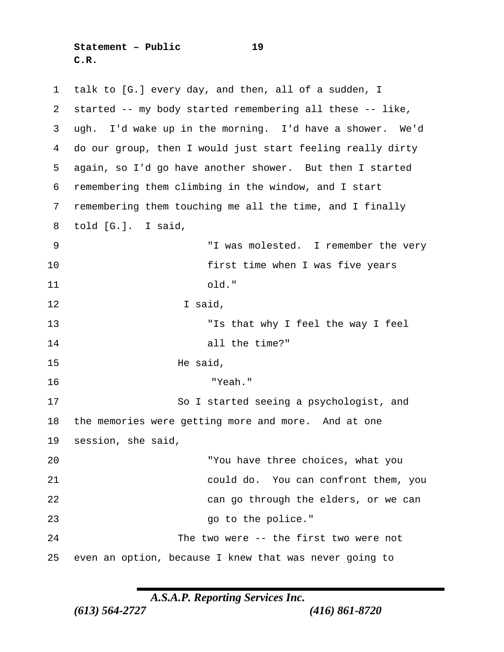**Statement – Public 19 C.R.**

 talk to [G.] every day, and then, all of a sudden, I started -- my body started remembering all these -- like, ugh. I'd wake up in the morning. I'd have a shower. We'd do our group, then I would just start feeling really dirty again, so I'd go have another shower. But then I started remembering them climbing in the window, and I start remembering them touching me all the time, and I finally told [G.]. I said, "I was molested. I remember the very first time when I was five years old." I said, "Is that why I feel the way I feel all the time?" He said, "Yeah." So I started seeing a psychologist, and the memories were getting more and more. And at one session, she said, "You have three choices, what you could do. You can confront them, you can go through the elders, or we can 23 and 23 go to the police." The two were -- the first two were not even an option, because I knew that was never going to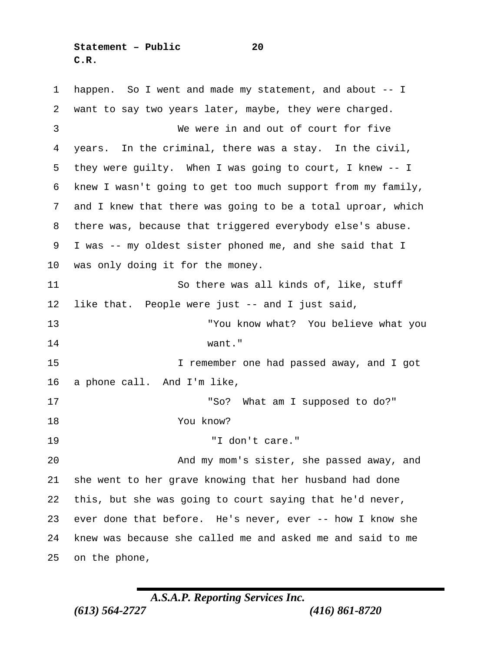**Statement – Public 20 C.R.**

 happen. So I went and made my statement, and about -- I want to say two years later, maybe, they were charged. We were in and out of court for five years. In the criminal, there was a stay. In the civil, they were guilty. When I was going to court, I knew -- I knew I wasn't going to get too much support from my family, and I knew that there was going to be a total uproar, which there was, because that triggered everybody else's abuse. I was -- my oldest sister phoned me, and she said that I was only doing it for the money. So there was all kinds of, like, stuff like that. People were just -- and I just said, "You know what? You believe what you want." I remember one had passed away, and I got a phone call. And I'm like, "So? What am I supposed to do?" You know? "I don't care." And my mom's sister, she passed away, and she went to her grave knowing that her husband had done this, but she was going to court saying that he'd never, ever done that before. He's never, ever -- how I know she knew was because she called me and asked me and said to me on the phone,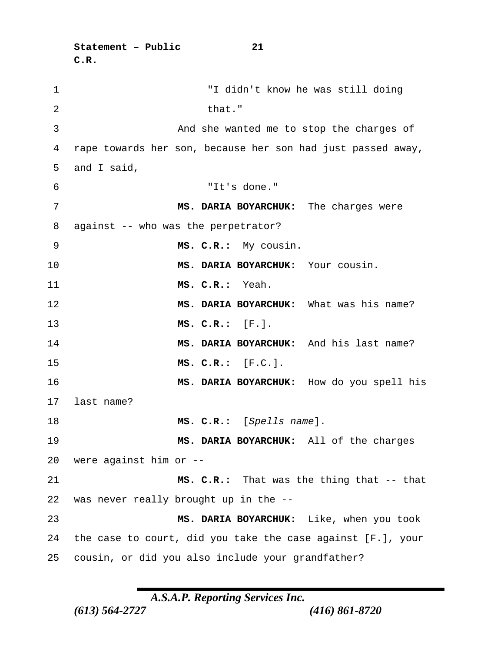**C.R.** "I didn't know he was still doing 2 that." And she wanted me to stop the charges of rape towards her son, because her son had just passed away, and I said, "It's done." **MS. DARIA BOYARCHUK:** The charges were against -- who was the perpetrator? **MS. C.R.:** My cousin. **MS. DARIA BOYARCHUK:** Your cousin. **MS. C.R.:** Yeah. **MS. DARIA BOYARCHUK:** What was his name? **MS. C.R.:** [F.]. **MS. DARIA BOYARCHUK:** And his last name? **MS. C.R.:** [F.C.]. **MS. DARIA BOYARCHUK:** How do you spell his last name? **MS. C.R.:** [*Spells name*]. **MS. DARIA BOYARCHUK:** All of the charges were against him or -- **MS. C.R.:** That was the thing that -- that was never really brought up in the -- **MS. DARIA BOYARCHUK:** Like, when you took the case to court, did you take the case against [F.], your cousin, or did you also include your grandfather?

**Statement – Public 21**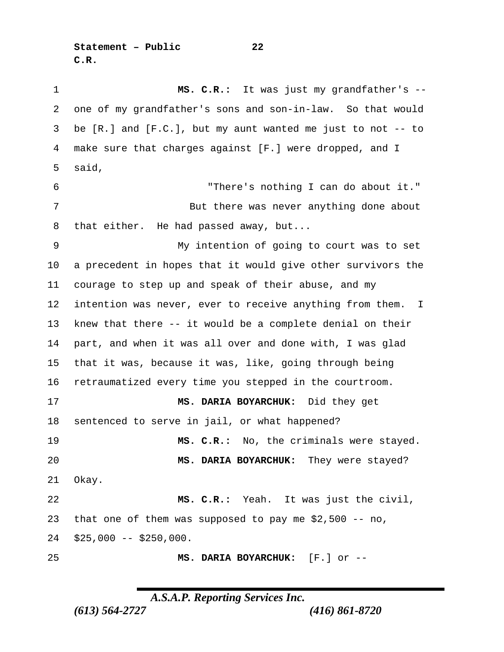**Statement – Public 22 C.R.**

 **MS. C.R.:** It was just my grandfather's -- one of my grandfather's sons and son-in-law. So that would be [R.] and [F.C.], but my aunt wanted me just to not -- to make sure that charges against [F.] were dropped, and I said, "There's nothing I can do about it." 7 But there was never anything done about that either. He had passed away, but... My intention of going to court was to set a precedent in hopes that it would give other survivors the courage to step up and speak of their abuse, and my intention was never, ever to receive anything from them. I knew that there -- it would be a complete denial on their part, and when it was all over and done with, I was glad that it was, because it was, like, going through being retraumatized every time you stepped in the courtroom. **MS. DARIA BOYARCHUK:** Did they get sentenced to serve in jail, or what happened? **MS. C.R.:** No, the criminals were stayed. **MS. DARIA BOYARCHUK:** They were stayed? Okay. **MS. C.R.:** Yeah. It was just the civil, that one of them was supposed to pay me \$2,500 -- no, \$25,000 -- \$250,000. **MS. DARIA BOYARCHUK:** [F.] or --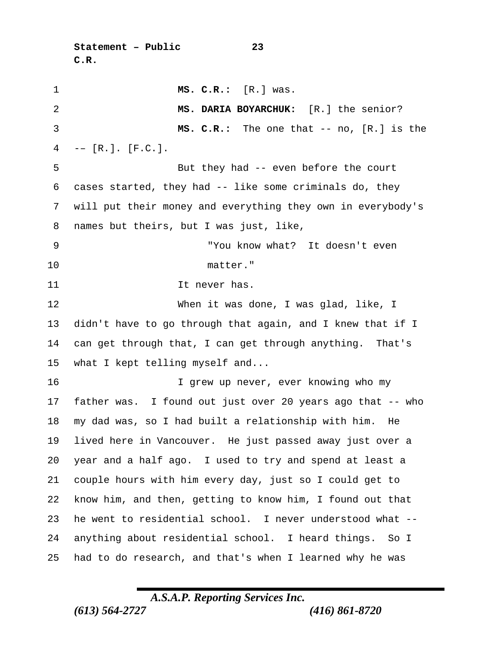```
Statement – Public 23
C.R.
```

| 1              | MS. C.R.: [R.] was.                                         |
|----------------|-------------------------------------------------------------|
| $\overline{2}$ | MS. DARIA BOYARCHUK: [R.] the senior?                       |
| 3              | $MS. C.R.:$ The one that -- no, $[R.]$ is the               |
| 4              | $-- [R.]$ . [F.C.].                                         |
| 5              | But they had -- even before the court                       |
| 6              | cases started, they had -- like some criminals do, they     |
| 7              | will put their money and everything they own in everybody's |
| 8              | names but theirs, but I was just, like,                     |
| 9              | "You know what? It doesn't even                             |
| 10             | matter."                                                    |
| 11             | It never has.                                               |
| 12             | When it was done, I was glad, like, I                       |
| 13             | didn't have to go through that again, and I knew that if I  |
| 14             | can get through that, I can get through anything. That's    |
| 15             | what I kept telling myself and                              |
| 16             | I grew up never, ever knowing who my                        |
| 17             | father was. I found out just over 20 years ago that -- who  |
| 18             | my dad was, so I had built a relationship with him.<br>- He |
| 19             | lived here in Vancouver. He just passed away just over a    |
| 20             | year and a half ago. I used to try and spend at least a     |
| 21             | couple hours with him every day, just so I could get to     |
| 22             | know him, and then, getting to know him, I found out that   |
| 23             | he went to residential school. I never understood what --   |
| 24             | anything about residential school. I heard things. So I     |
| 25             | had to do research, and that's when I learned why he was    |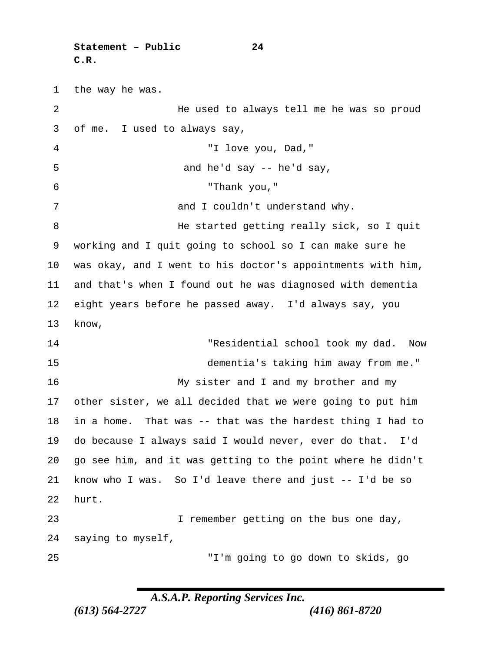**Statement – Public 24 C.R.**

 the way he was. He used to always tell me he was so proud of me. I used to always say, "I love you, Dad," and he'd say -- he'd say, "Thank you," 7 and I couldn't understand why. 8 He started getting really sick, so I quit working and I quit going to school so I can make sure he was okay, and I went to his doctor's appointments with him, and that's when I found out he was diagnosed with dementia eight years before he passed away. I'd always say, you know, "Residential school took my dad. Now dementia's taking him away from me." My sister and I and my brother and my other sister, we all decided that we were going to put him in a home. That was -- that was the hardest thing I had to do because I always said I would never, ever do that. I'd go see him, and it was getting to the point where he didn't

 know who I was. So I'd leave there and just -- I'd be so hurt.

 I remember getting on the bus one day, saying to myself,

"I'm going to go down to skids, go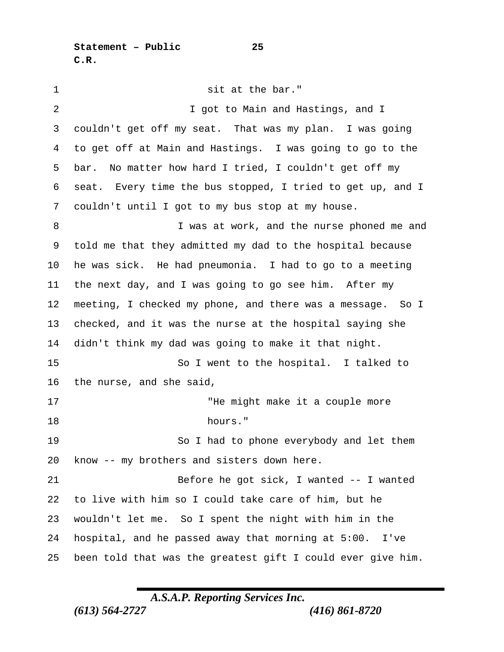**Statement – Public 25 C.R.**

1 sit at the bar." 2 I got to Main and Hastings, and I couldn't get off my seat. That was my plan. I was going to get off at Main and Hastings. I was going to go to the bar. No matter how hard I tried, I couldn't get off my seat. Every time the bus stopped, I tried to get up, and I couldn't until I got to my bus stop at my house. 8 I was at work, and the nurse phoned me and told me that they admitted my dad to the hospital because he was sick. He had pneumonia. I had to go to a meeting the next day, and I was going to go see him. After my meeting, I checked my phone, and there was a message. So I checked, and it was the nurse at the hospital saying she didn't think my dad was going to make it that night. 15 So I went to the hospital. I talked to the nurse, and she said, 17 THe might make it a couple more hours." So I had to phone everybody and let them know -- my brothers and sisters down here. Before he got sick, I wanted -- I wanted to live with him so I could take care of him, but he wouldn't let me. So I spent the night with him in the hospital, and he passed away that morning at 5:00. I've been told that was the greatest gift I could ever give him.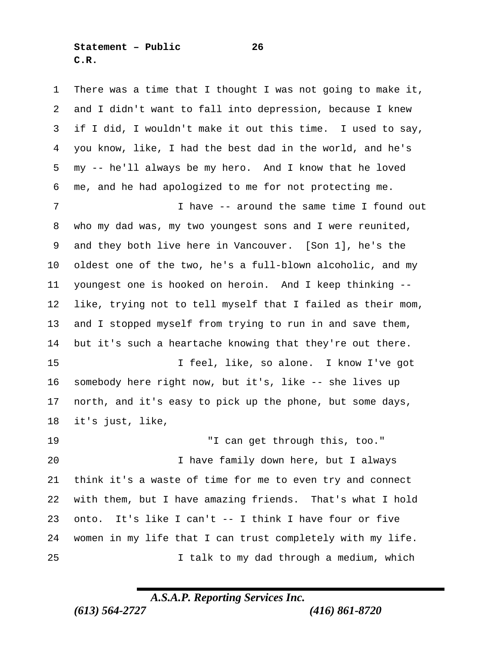**Statement – Public 26 C.R.**

 There was a time that I thought I was not going to make it, and I didn't want to fall into depression, because I knew if I did, I wouldn't make it out this time. I used to say, you know, like, I had the best dad in the world, and he's my -- he'll always be my hero. And I know that he loved me, and he had apologized to me for not protecting me. I have -- around the same time I found out who my dad was, my two youngest sons and I were reunited, and they both live here in Vancouver. [Son 1], he's the oldest one of the two, he's a full-blown alcoholic, and my youngest one is hooked on heroin. And I keep thinking -- like, trying not to tell myself that I failed as their mom, and I stopped myself from trying to run in and save them, but it's such a heartache knowing that they're out there. I feel, like, so alone. I know I've got somebody here right now, but it's, like -- she lives up north, and it's easy to pick up the phone, but some days, it's just, like, "I can get through this, too." I have family down here, but I always think it's a waste of time for me to even try and connect with them, but I have amazing friends. That's what I hold onto. It's like I can't -- I think I have four or five women in my life that I can trust completely with my life. I talk to my dad through a medium, which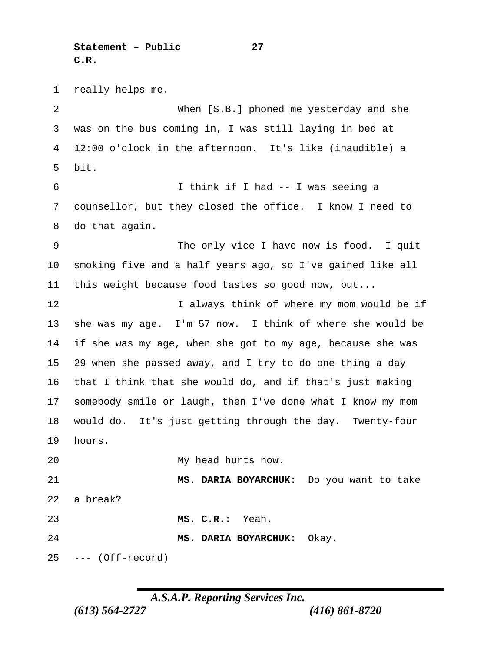**Statement – Public 27 C.R.**

 really helps me. When [S.B.] phoned me yesterday and she was on the bus coming in, I was still laying in bed at 12:00 o'clock in the afternoon. It's like (inaudible) a bit. I think if I had -- I was seeing a counsellor, but they closed the office. I know I need to do that again. 9 The only vice I have now is food. I quit smoking five and a half years ago, so I've gained like all this weight because food tastes so good now, but... 12 12 I always think of where my mom would be if she was my age. I'm 57 now. I think of where she would be if she was my age, when she got to my age, because she was 29 when she passed away, and I try to do one thing a day that I think that she would do, and if that's just making somebody smile or laugh, then I've done what I know my mom would do. It's just getting through the day. Twenty-four hours. My head hurts now. **MS. DARIA BOYARCHUK:** Do you want to take a break? **MS. C.R.:** Yeah. **MS. DARIA BOYARCHUK:** Okay. --- (Off-record)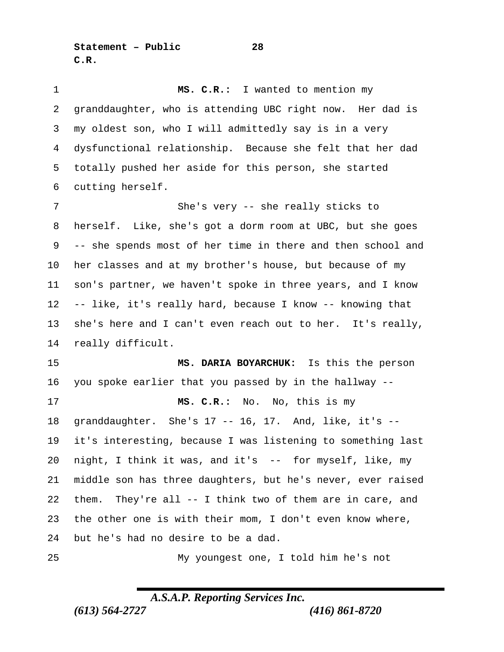**Statement – Public 28 C.R.**

 **MS. C.R.:** I wanted to mention my granddaughter, who is attending UBC right now. Her dad is my oldest son, who I will admittedly say is in a very dysfunctional relationship. Because she felt that her dad totally pushed her aside for this person, she started cutting herself. She's very -- she really sticks to herself. Like, she's got a dorm room at UBC, but she goes -- she spends most of her time in there and then school and her classes and at my brother's house, but because of my son's partner, we haven't spoke in three years, and I know -- like, it's really hard, because I know -- knowing that she's here and I can't even reach out to her. It's really, really difficult. **MS. DARIA BOYARCHUK:** Is this the person you spoke earlier that you passed by in the hallway -- **MS. C.R.:** No. No, this is my granddaughter. She's 17 -- 16, 17. And, like, it's -- it's interesting, because I was listening to something last night, I think it was, and it's -- for myself, like, my middle son has three daughters, but he's never, ever raised them. They're all -- I think two of them are in care, and the other one is with their mom, I don't even know where, but he's had no desire to be a dad. My youngest one, I told him he's not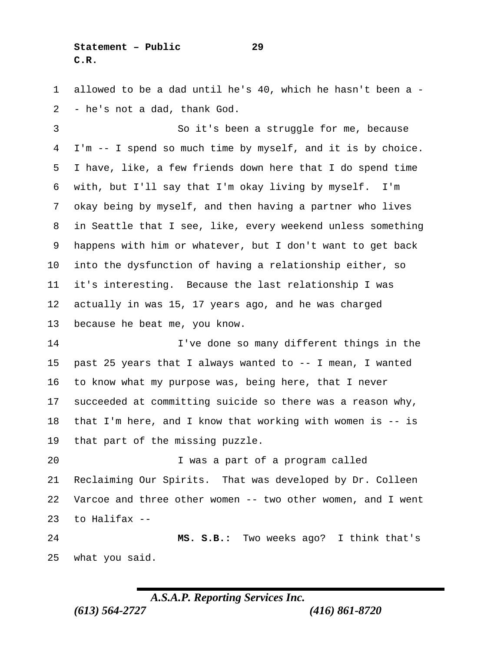**Statement – Public 29 C.R.**

 allowed to be a dad until he's 40, which he hasn't been a - - he's not a dad, thank God.

 So it's been a struggle for me, because I'm -- I spend so much time by myself, and it is by choice. I have, like, a few friends down here that I do spend time with, but I'll say that I'm okay living by myself. I'm okay being by myself, and then having a partner who lives in Seattle that I see, like, every weekend unless something happens with him or whatever, but I don't want to get back into the dysfunction of having a relationship either, so it's interesting. Because the last relationship I was actually in was 15, 17 years ago, and he was charged because he beat me, you know.

 I've done so many different things in the past 25 years that I always wanted to -- I mean, I wanted to know what my purpose was, being here, that I never succeeded at committing suicide so there was a reason why, that I'm here, and I know that working with women is -- is that part of the missing puzzle.

 I was a part of a program called Reclaiming Our Spirits. That was developed by Dr. Colleen Varcoe and three other women -- two other women, and I went to Halifax --

 **MS. S.B.:** Two weeks ago? I think that's what you said.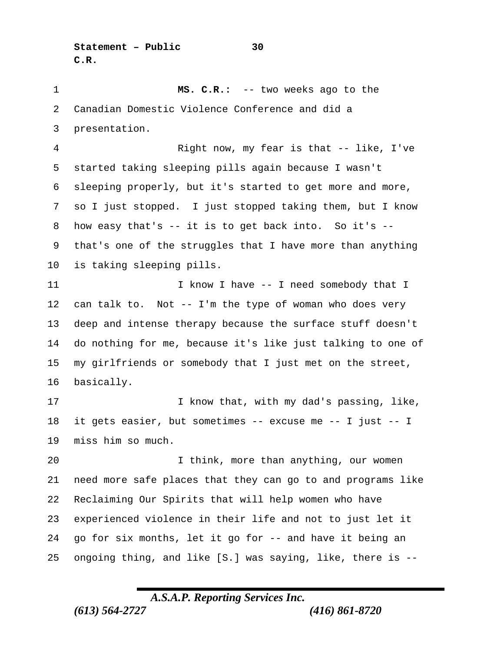**MS. C.R.:** -- two weeks ago to the Canadian Domestic Violence Conference and did a presentation. Right now, my fear is that -- like, I've started taking sleeping pills again because I wasn't sleeping properly, but it's started to get more and more, so I just stopped. I just stopped taking them, but I know how easy that's -- it is to get back into. So it's -- that's one of the struggles that I have more than anything is taking sleeping pills. 11 I know I have -- I need somebody that I can talk to. Not -- I'm the type of woman who does very deep and intense therapy because the surface stuff doesn't do nothing for me, because it's like just talking to one of my girlfriends or somebody that I just met on the street, basically. I know that, with my dad's passing, like, it gets easier, but sometimes -- excuse me -- I just -- I miss him so much. I think, more than anything, our women need more safe places that they can go to and programs like Reclaiming Our Spirits that will help women who have experienced violence in their life and not to just let it go for six months, let it go for -- and have it being an ongoing thing, and like [S.] was saying, like, there is --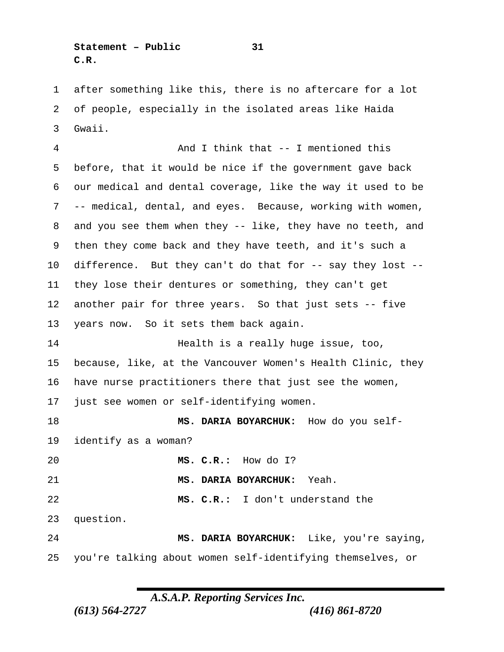**Statement – Public 31 C.R.**

 after something like this, there is no aftercare for a lot of people, especially in the isolated areas like Haida Gwaii.

 And I think that -- I mentioned this before, that it would be nice if the government gave back our medical and dental coverage, like the way it used to be -- medical, dental, and eyes. Because, working with women, and you see them when they -- like, they have no teeth, and then they come back and they have teeth, and it's such a difference. But they can't do that for -- say they lost -- they lose their dentures or something, they can't get another pair for three years. So that just sets -- five years now. So it sets them back again. **Health is a really huge issue, too,**  because, like, at the Vancouver Women's Health Clinic, they have nurse practitioners there that just see the women, just see women or self-identifying women. **MS. DARIA BOYARCHUK:** How do you self- identify as a woman? **MS. C.R.:** How do I? **MS. DARIA BOYARCHUK:** Yeah. **MS. C.R.:** I don't understand the question. **MS. DARIA BOYARCHUK:** Like, you're saying, you're talking about women self-identifying themselves, or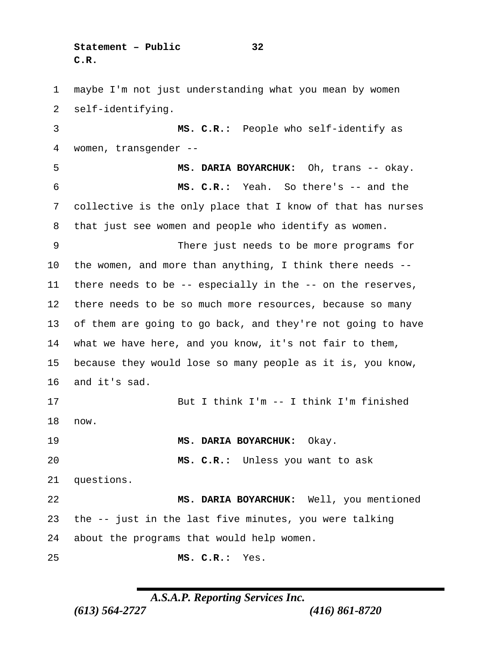**Statement – Public 32 C.R.**

 maybe I'm not just understanding what you mean by women self-identifying. **MS. C.R.:** People who self-identify as women, transgender -- **MS. DARIA BOYARCHUK:** Oh, trans -- okay. **MS. C.R.:** Yeah. So there's -- and the collective is the only place that I know of that has nurses that just see women and people who identify as women. There just needs to be more programs for the women, and more than anything, I think there needs -- there needs to be -- especially in the -- on the reserves, there needs to be so much more resources, because so many of them are going to go back, and they're not going to have what we have here, and you know, it's not fair to them, because they would lose so many people as it is, you know, and it's sad. But I think I'm -- I think I'm finished now. **MS. DARIA BOYARCHUK:** Okay. **MS. C.R.:** Unless you want to ask questions. **MS. DARIA BOYARCHUK:** Well, you mentioned the -- just in the last five minutes, you were talking about the programs that would help women. **MS. C.R.:** Yes.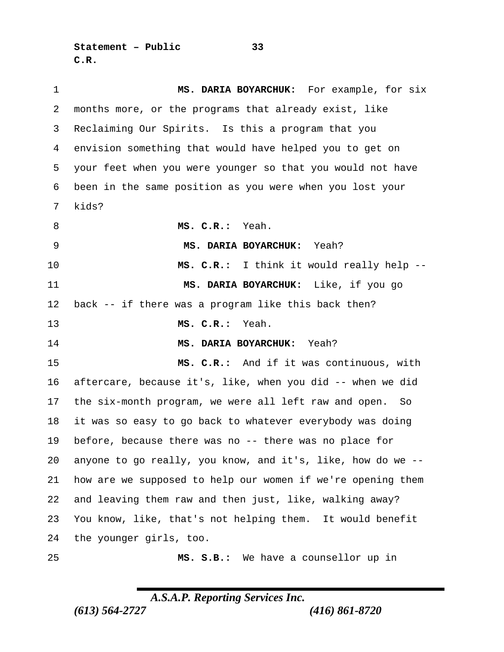**Statement – Public 33 C.R.**

 **MS. DARIA BOYARCHUK:** For example, for six months more, or the programs that already exist, like Reclaiming Our Spirits. Is this a program that you envision something that would have helped you to get on your feet when you were younger so that you would not have been in the same position as you were when you lost your kids? **MS. C.R.:** Yeah. **MS. DARIA BOYARCHUK:** Yeah? **MS. C.R.:** I think it would really help -- **MS. DARIA BOYARCHUK:** Like, if you go back -- if there was a program like this back then? **MS. C.R.:** Yeah. **MS. DARIA BOYARCHUK:** Yeah? **MS. C.R.:** And if it was continuous, with aftercare, because it's, like, when you did -- when we did the six-month program, we were all left raw and open. So it was so easy to go back to whatever everybody was doing before, because there was no -- there was no place for anyone to go really, you know, and it's, like, how do we -- how are we supposed to help our women if we're opening them and leaving them raw and then just, like, walking away? You know, like, that's not helping them. It would benefit the younger girls, too. **MS. S.B.:** We have a counsellor up in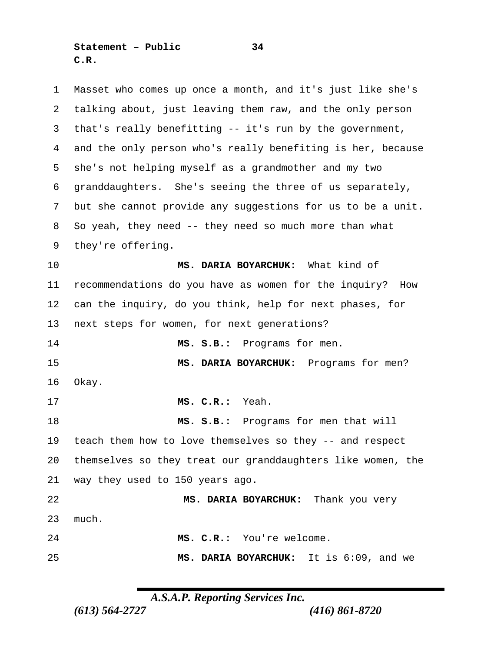**Statement – Public 34 C.R.**

 Masset who comes up once a month, and it's just like she's talking about, just leaving them raw, and the only person that's really benefitting -- it's run by the government, and the only person who's really benefiting is her, because she's not helping myself as a grandmother and my two granddaughters. She's seeing the three of us separately, but she cannot provide any suggestions for us to be a unit. So yeah, they need -- they need so much more than what they're offering. **MS. DARIA BOYARCHUK:** What kind of recommendations do you have as women for the inquiry? How can the inquiry, do you think, help for next phases, for next steps for women, for next generations? **MS. S.B.:** Programs for men. **MS. DARIA BOYARCHUK:** Programs for men? Okay. **MS. C.R.:** Yeah. **MS. S.B.:** Programs for men that will teach them how to love themselves so they -- and respect themselves so they treat our granddaughters like women, the way they used to 150 years ago. **MS. DARIA BOYARCHUK:** Thank you very much. **MS. C.R.:** You're welcome. **MS. DARIA BOYARCHUK:** It is 6:09, and we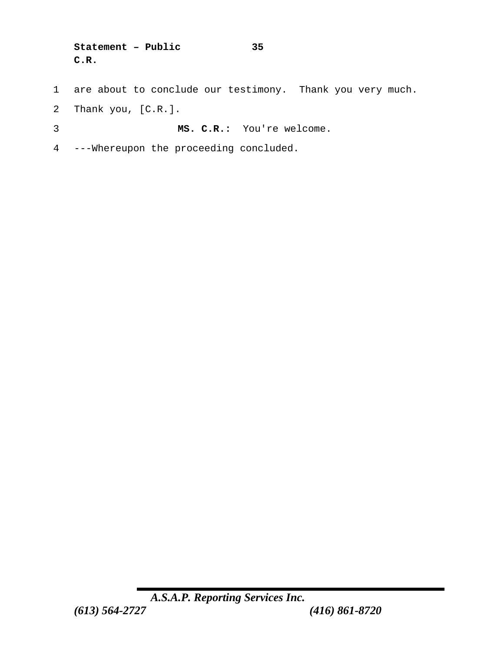```
Statement – Public 35
C.R.
```
- 1 are about to conclude our testimony. Thank you very much.
- 2 Thank you, [C.R.].
- 3 **MS. C.R.:** You're welcome.
- 4 ---Whereupon the proceeding concluded.